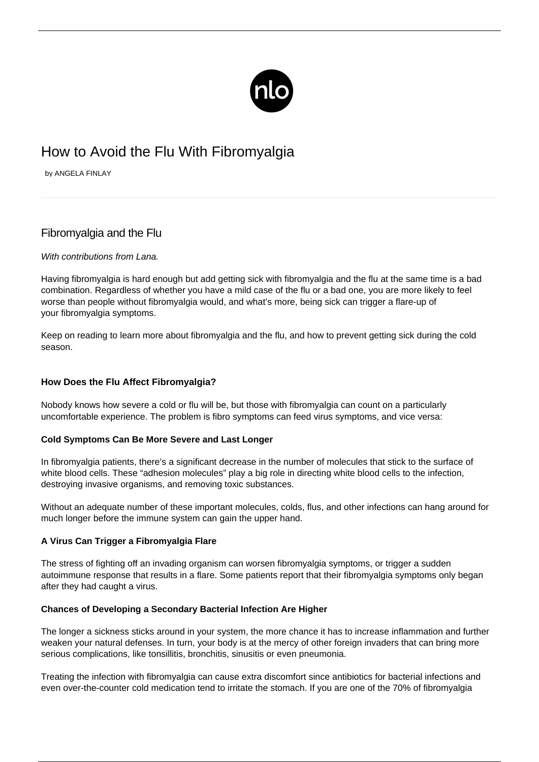

# How to Avoid the Flu With Fibromyalgia

by ANGELA FINLAY

## Fibromyalgia and the Flu

## With contributions from Lana.

Having fibromyalgia is hard enough but add getting sick with fibromyalgia and the flu at the same time is a bad combination. Regardless of whether you have a mild case of the flu or a bad one, you are more likely to feel worse than people without fibromyalgia would, and what's more, being sick can trigger a flare-up of your [fibromyalgia symptoms.](/symptoms-of-fibromyalgia/)

Keep on reading to learn more about fibromyalgia and the flu, and how to prevent getting sick during the cold season.

## **How Does the Flu Affect Fibromyalgia?**

Nobody knows how severe a cold or flu will be, but those with fibromyalgia can count on a particularly uncomfortable experience. The problem is fibro symptoms can feed virus symptoms, and vice versa:

## **Cold Symptoms Can Be More Severe and Last Longer**

In fibromyalgia patients, there's a significant decrease in the number of molecules that stick to the surface of white blood cells. These "adhesion molecules" play a big role in directing white blood cells to the infection, destroying invasive organisms, and removing toxic substances.

Without an adequate number of these important molecules, colds, flus, and other infections can hang around for much longer before the immune system can gain the upper hand.

## **A Virus Can Trigger a Fibromyalgia Flare**

The stress of fighting off an invading organism can [worsen fibromyalgia symptoms,](https://www.everydayhealth.com/fibromyalgia/are-your-aches-from-flu-or-fibromyalgia.aspx) or trigger a sudden autoimmune response that results in a flare. Some patients report that their fibromyalgia symptoms only began after they had caught a virus.

## **Chances of Developing a Secondary Bacterial Infection Are Higher**

The longer a sickness sticks around in your system, the more chance it has to increase inflammation and further weaken your natural defenses. In turn, your body is at the mercy of other foreign invaders that can bring more serious complications, like tonsillitis, bronchitis, sinusitis or even pneumonia.

Treating the infection with fibromyalgia can cause extra discomfort since antibiotics for bacterial infections and even over-the-counter cold medication tend to irritate the stomach. If you are one of the [70% of fibromyalgia](https://www.healthline.com/health/fibromyalgia-and-ibs)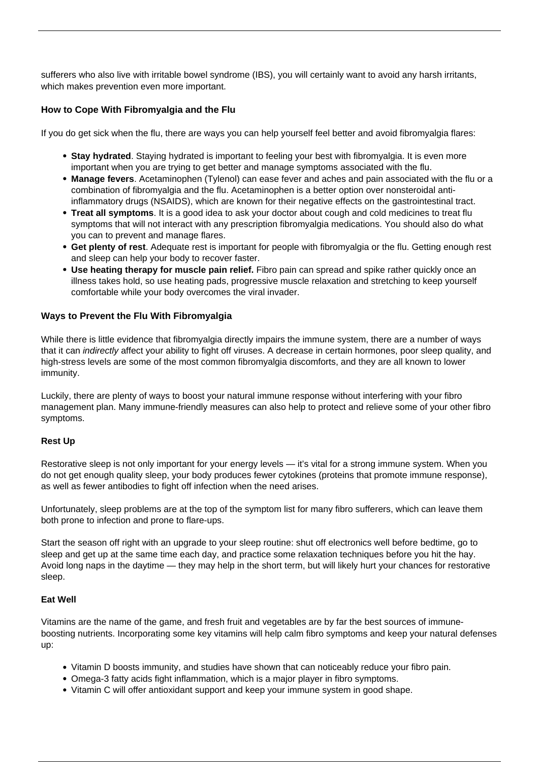[sufferers](https://www.healthline.com/health/fibromyalgia-and-ibs) who also live with irritable bowel syndrome (IBS), you will certainly want to avoid any harsh irritants, which makes prevention even more important.

## **How to Cope With Fibromyalgia and the Flu**

If you do get sick when the flu, there are ways you can help yourself feel better and avoid [fibromyalgia flares:](/flare-up/)

- **Stay hydrated**. Staying hydrated is important to feeling your best with fibromyalgia. It is even more important when you are trying to get better and manage symptoms associated with the flu.
- **Manage fevers**. Acetaminophen (Tylenol) can ease fever and aches and pain associated with the flu or a combination of fibromyalgia and the flu. Acetaminophen is a better option over nonsteroidal antiinflammatory drugs (NSAIDS), which are known for their negative effects on the gastrointestinal tract.
- **Treat all symptoms**. It is a good idea to ask your doctor about cough and cold medicines to treat flu symptoms that will not interact with any prescription fibromyalgia medications. You should also do what you can to prevent and manage flares.
- **Get plenty of rest**. Adequate rest is important for people with fibromyalgia or the flu. Getting enough rest and sleep can help your body to recover faster.
- **Use heating therapy for muscle pain relief.** [Fibro pain](/habits-relieve-pain/) can spread and spike rather quickly once an illness takes hold, so use heating pads, progressive muscle relaxation and stretching to keep yourself comfortable while your body overcomes the viral invader.

## **Ways to Prevent the Flu With Fibromyalgia**

While there is little evidence that fibromyalgia directly impairs the immune system, there are a number of ways that it can *indirectly* affect your ability to fight off viruses. A decrease in certain hormones, poor sleep quality, and high-stress levels are some of the most common fibromyalgia discomforts, and they are all known to lower immunity.

Luckily, there are plenty of ways to boost your natural immune response without interfering with your fibro management plan. Many immune-friendly measures can also help to protect and relieve some of your other fibro symptoms.

## **Rest Up**

Restorative sleep is not only important for your energy levels — it's vital for a strong immune system. When you do not get enough quality sleep, your body produces fewer cytokines (proteins that promote immune response), as well as fewer antibodies to fight off infection when the need arises.

Unfortunately, sleep problems are at the top of the symptom list for many fibro sufferers, which can leave them both prone to infection and prone to flare-ups.

Start the season off right with an upgrade to your sleep routine: shut off electronics well before bedtime, go to sleep and get up at the same time each day, and practice some relaxation techniques before you hit the hay. Avoid long naps in the daytime — they may help in the short term, but will likely hurt your chances for restorative sleep.

## **Eat Well**

Vitamins are the name of the game, and fresh fruit and vegetables are by far the best sources of immuneboosting nutrients. Incorporating some key vitamins will help calm fibro symptoms and keep your natural defenses up:

- Vitamin D boosts immunity, and studies have shown that can noticeably reduce your fibro pain.
- Omega-3 fatty acids fight inflammation, which is a major player in fibro symptoms.
- Vitamin C will offer antioxidant support and keep your immune system in good shape.